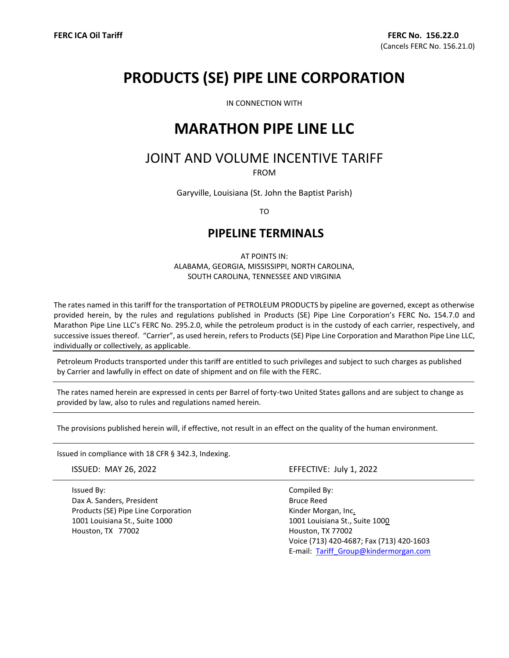# **PRODUCTS (SE) PIPE LINE CORPORATION**

IN CONNECTION WITH

## **MARATHON PIPE LINE LLC**

### JOINT AND VOLUME INCENTIVE TARIFF

FROM

Garyville, Louisiana (St. John the Baptist Parish)

TO

#### **PIPELINE TERMINALS**

AT POINTS IN: ALABAMA, GEORGIA, MISSISSIPPI, NORTH CAROLINA, SOUTH CAROLINA, TENNESSEE AND VIRGINIA

The rates named in this tariff for the transportation of PETROLEUM PRODUCTS by pipeline are governed, except as otherwise provided herein, by the rules and regulations published in Products (SE) Pipe Line Corporation's FERC No**.** 154.7.0 and Marathon Pipe Line LLC's FERC No. 295.2.0, while the petroleum product is in the custody of each carrier, respectively, and successive issues thereof. "Carrier", as used herein, refers to Products (SE) Pipe Line Corporation and Marathon Pipe Line LLC, individually or collectively, as applicable.

Petroleum Products transported under this tariff are entitled to such privileges and subject to such charges as published by Carrier and lawfully in effect on date of shipment and on file with the FERC.

The rates named herein are expressed in cents per Barrel of forty-two United States gallons and are subject to change as provided by law, also to rules and regulations named herein.

The provisions published herein will, if effective, not result in an effect on the quality of the human environment.

Issued in compliance with 18 CFR § 342.3, Indexing.

Issued By: Dax A. Sanders, President Products (SE) Pipe Line Corporation 1001 Louisiana St., Suite 1000 Houston, TX 77002

ISSUED: MAY 26, 2022 EFFECTIVE: July 1, 2022

Compiled By: Bruce Reed Kinder Morgan, Inc. 1001 Louisiana St., Suite 1000 Houston, TX 77002 Voice (713) 420-4687; Fax (713) 420-1603 E-mail: [Tariff\\_Group@kindermorgan.com](mailto:Tariff_Group@kindermorgan.com)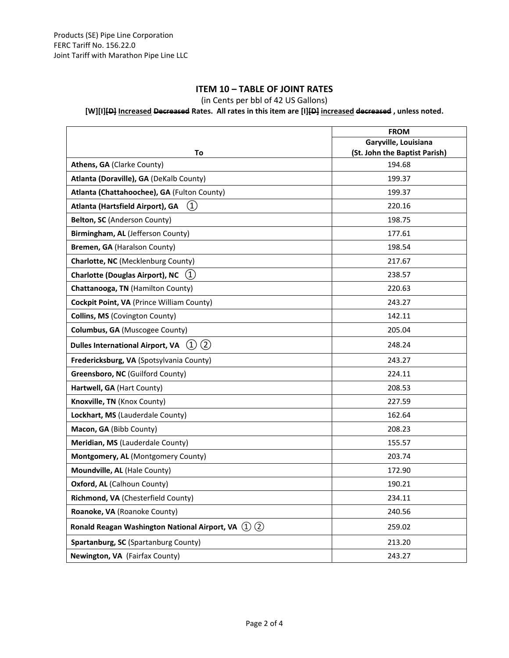#### **ITEM 10 – TABLE OF JOINT RATES**

(in Cents per bbl of 42 US Gallons)

**[W][I][D] Increased Decreased Rates. All rates in this item are [I][D] increased decreased , unless noted.**

|                                                        | <b>FROM</b>                             |
|--------------------------------------------------------|-----------------------------------------|
|                                                        | Garyville, Louisiana                    |
| To<br>Athens, GA (Clarke County)                       | (St. John the Baptist Parish)<br>194.68 |
| Atlanta (Doraville), GA (DeKalb County)                | 199.37                                  |
| Atlanta (Chattahoochee), GA (Fulton County)            | 199.37                                  |
|                                                        |                                         |
| $\left( 1\right)$<br>Atlanta (Hartsfield Airport), GA  | 220.16                                  |
| Belton, SC (Anderson County)                           | 198.75                                  |
| Birmingham, AL (Jefferson County)                      | 177.61                                  |
| Bremen, GA (Haralson County)                           | 198.54                                  |
| Charlotte, NC (Mecklenburg County)                     | 217.67                                  |
| <b>Charlotte (Douglas Airport), NC</b><br>(1)          | 238.57                                  |
| Chattanooga, TN (Hamilton County)                      | 220.63                                  |
| Cockpit Point, VA (Prince William County)              | 243.27                                  |
| Collins, MS (Covington County)                         | 142.11                                  |
| Columbus, GA (Muscogee County)                         | 205.04                                  |
| (2)<br>(1)<br><b>Dulles International Airport, VA</b>  | 248.24                                  |
| Fredericksburg, VA (Spotsylvania County)               | 243.27                                  |
| Greensboro, NC (Guilford County)                       | 224.11                                  |
| Hartwell, GA (Hart County)                             | 208.53                                  |
| Knoxville, TN (Knox County)                            | 227.59                                  |
| Lockhart, MS (Lauderdale County)                       | 162.64                                  |
| Macon, GA (Bibb County)                                | 208.23                                  |
| Meridian, MS (Lauderdale County)                       | 155.57                                  |
| Montgomery, AL (Montgomery County)                     | 203.74                                  |
| Moundville, AL (Hale County)                           | 172.90                                  |
| Oxford, AL (Calhoun County)                            | 190.21                                  |
| Richmond, VA (Chesterfield County)                     | 234.11                                  |
| Roanoke, VA (Roanoke County)                           | 240.56                                  |
| Ronald Reagan Washington National Airport, VA $(1)(2)$ | 259.02                                  |
| Spartanburg, SC (Spartanburg County)                   | 213.20                                  |
| Newington, VA (Fairfax County)                         | 243.27                                  |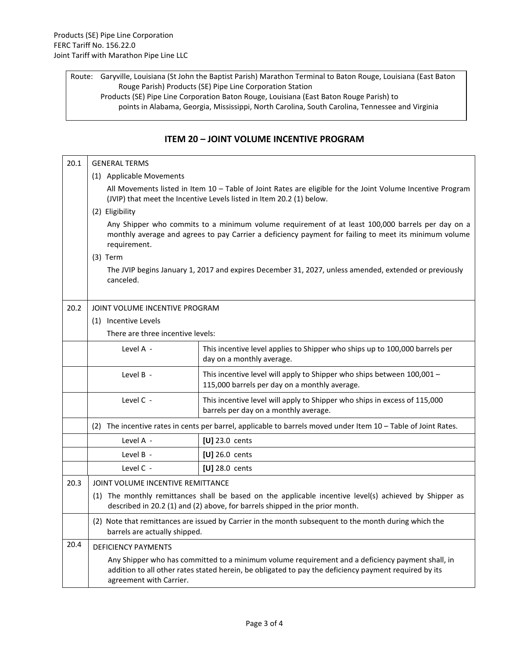Route: Garyville, Louisiana (St John the Baptist Parish) Marathon Terminal to Baton Rouge, Louisiana (East Baton Rouge Parish) Products (SE) Pipe Line Corporation Station Products (SE) Pipe Line Corporation Baton Rouge, Louisiana (East Baton Rouge Parish) to points in Alabama, Georgia, Mississippi, North Carolina, South Carolina, Tennessee and Virginia

#### **ITEM 20 – JOINT VOLUME INCENTIVE PROGRAM**

| 20.1 | <b>GENERAL TERMS</b>                                                                                                                                                                                                                 |                                                                                                                         |  |
|------|--------------------------------------------------------------------------------------------------------------------------------------------------------------------------------------------------------------------------------------|-------------------------------------------------------------------------------------------------------------------------|--|
|      | (1) Applicable Movements                                                                                                                                                                                                             |                                                                                                                         |  |
|      | All Movements listed in Item 10 - Table of Joint Rates are eligible for the Joint Volume Incentive Program<br>(JVIP) that meet the Incentive Levels listed in Item 20.2 (1) below.                                                   |                                                                                                                         |  |
|      | (2) Eligibility                                                                                                                                                                                                                      |                                                                                                                         |  |
|      | Any Shipper who commits to a minimum volume requirement of at least 100,000 barrels per day on a<br>monthly average and agrees to pay Carrier a deficiency payment for failing to meet its minimum volume<br>requirement.            |                                                                                                                         |  |
|      | $(3)$ Term                                                                                                                                                                                                                           |                                                                                                                         |  |
|      | canceled.                                                                                                                                                                                                                            | The JVIP begins January 1, 2017 and expires December 31, 2027, unless amended, extended or previously                   |  |
|      |                                                                                                                                                                                                                                      |                                                                                                                         |  |
| 20.2 | JOINT VOLUME INCENTIVE PROGRAM                                                                                                                                                                                                       |                                                                                                                         |  |
|      | (1) Incentive Levels                                                                                                                                                                                                                 |                                                                                                                         |  |
|      | There are three incentive levels:                                                                                                                                                                                                    |                                                                                                                         |  |
|      | Level A -                                                                                                                                                                                                                            | This incentive level applies to Shipper who ships up to 100,000 barrels per<br>day on a monthly average.                |  |
|      | Level B -                                                                                                                                                                                                                            | This incentive level will apply to Shipper who ships between 100,001 -<br>115,000 barrels per day on a monthly average. |  |
|      | Level C -                                                                                                                                                                                                                            | This incentive level will apply to Shipper who ships in excess of 115,000<br>barrels per day on a monthly average.      |  |
|      | (2) The incentive rates in cents per barrel, applicable to barrels moved under Item 10 - Table of Joint Rates.                                                                                                                       |                                                                                                                         |  |
|      | Level A -                                                                                                                                                                                                                            | [ $U$ ] 23.0 cents                                                                                                      |  |
|      | Level B -                                                                                                                                                                                                                            | [U] $26.0$ cents                                                                                                        |  |
|      | Level C -                                                                                                                                                                                                                            | [ $U$ ] 28.0 cents                                                                                                      |  |
| 20.3 | JOINT VOLUME INCENTIVE REMITTANCE                                                                                                                                                                                                    |                                                                                                                         |  |
|      | (1) The monthly remittances shall be based on the applicable incentive level(s) achieved by Shipper as<br>described in 20.2 (1) and (2) above, for barrels shipped in the prior month.                                               |                                                                                                                         |  |
|      | (2) Note that remittances are issued by Carrier in the month subsequent to the month during which the<br>barrels are actually shipped.                                                                                               |                                                                                                                         |  |
| 20.4 | <b>DEFICIENCY PAYMENTS</b>                                                                                                                                                                                                           |                                                                                                                         |  |
|      | Any Shipper who has committed to a minimum volume requirement and a deficiency payment shall, in<br>addition to all other rates stated herein, be obligated to pay the deficiency payment required by its<br>agreement with Carrier. |                                                                                                                         |  |